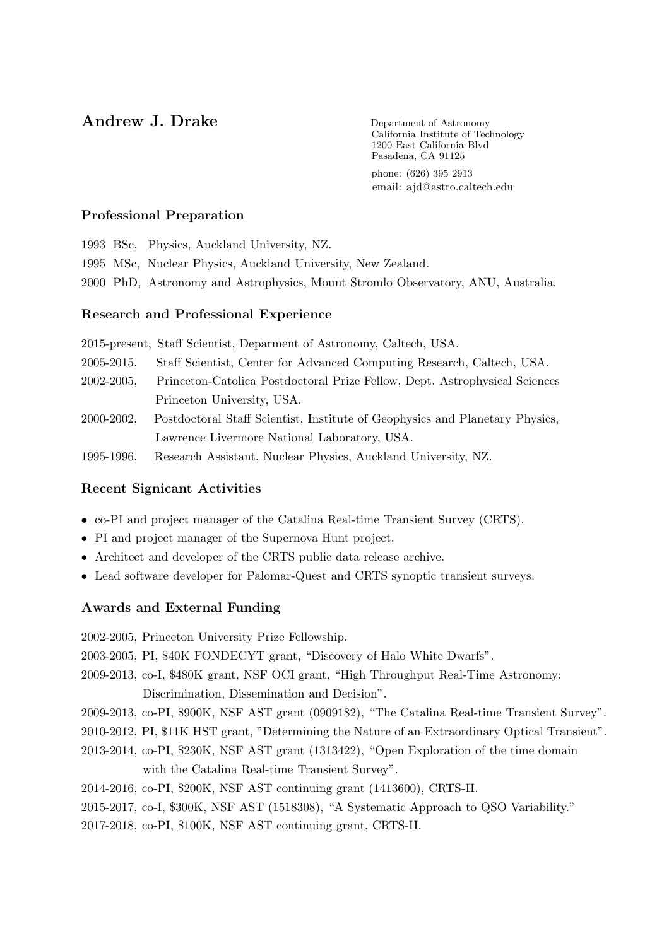# Andrew J. Drake Department of Astronomy

California Institute of Technology 1200 East California Blvd Pasadena, CA 91125

phone: (626) 395 2913 email: ajd@astro.caltech.edu

## Professional Preparation

1993 BSc, Physics, Auckland University, NZ. 1995 MSc, Nuclear Physics, Auckland University, New Zealand. 2000 PhD, Astronomy and Astrophysics, Mount Stromlo Observatory, ANU, Australia.

## Research and Professional Experience

2015-present, Staff Scientist, Deparment of Astronomy, Caltech, USA. 2005-2015, Staff Scientist, Center for Advanced Computing Research, Caltech, USA. 2002-2005, Princeton-Catolica Postdoctoral Prize Fellow, Dept. Astrophysical Sciences Princeton University, USA. 2000-2002, Postdoctoral Staff Scientist, Institute of Geophysics and Planetary Physics, Lawrence Livermore National Laboratory, USA. 1995-1996, Research Assistant, Nuclear Physics, Auckland University, NZ.

## Recent Signicant Activities

- co-PI and project manager of the Catalina Real-time Transient Survey (CRTS).
- PI and project manager of the Supernova Hunt project.
- Architect and developer of the CRTS public data release archive.
- Lead software developer for Palomar-Quest and CRTS synoptic transient surveys.

## Awards and External Funding

2002-2005, Princeton University Prize Fellowship.

2003-2005, PI, \$40K FONDECYT grant, "Discovery of Halo White Dwarfs".

- 2009-2013, co-I, \$480K grant, NSF OCI grant, "High Throughput Real-Time Astronomy: Discrimination, Dissemination and Decision".
- 2009-2013, co-PI, \$900K, NSF AST grant (0909182), "The Catalina Real-time Transient Survey".

2010-2012, PI, \$11K HST grant, "Determining the Nature of an Extraordinary Optical Transient".

- 2013-2014, co-PI, \$230K, NSF AST grant (1313422), "Open Exploration of the time domain with the Catalina Real-time Transient Survey".
- 2014-2016, co-PI, \$200K, NSF AST continuing grant (1413600), CRTS-II.

2015-2017, co-I, \$300K, NSF AST (1518308), "A Systematic Approach to QSO Variability."

2017-2018, co-PI, \$100K, NSF AST continuing grant, CRTS-II.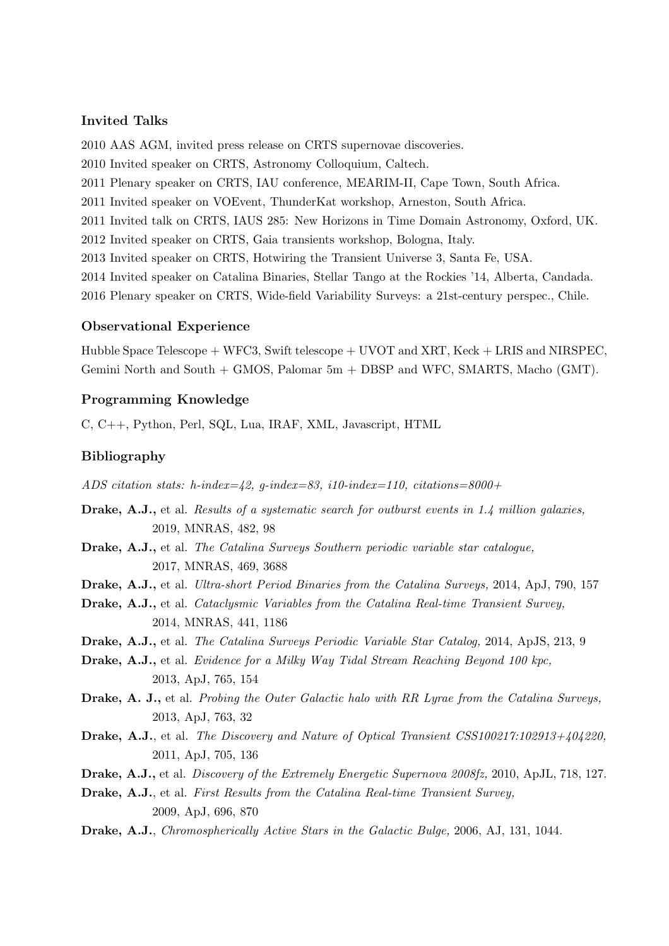## Invited Talks

2010 AAS AGM, invited press release on CRTS supernovae discoveries. 2010 Invited speaker on CRTS, Astronomy Colloquium, Caltech. 2011 Plenary speaker on CRTS, IAU conference, MEARIM-II, Cape Town, South Africa. 2011 Invited speaker on VOEvent, ThunderKat workshop, Arneston, South Africa. 2011 Invited talk on CRTS, IAUS 285: New Horizons in Time Domain Astronomy, Oxford, UK. 2012 Invited speaker on CRTS, Gaia transients workshop, Bologna, Italy. 2013 Invited speaker on CRTS, Hotwiring the Transient Universe 3, Santa Fe, USA. 2014 Invited speaker on Catalina Binaries, Stellar Tango at the Rockies '14, Alberta, Candada. 2016 Plenary speaker on CRTS, Wide-field Variability Surveys: a 21st-century perspec., Chile.

### Observational Experience

Hubble Space Telescope + WFC3, Swift telescope + UVOT and XRT, Keck + LRIS and NIRSPEC, Gemini North and South + GMOS, Palomar 5m + DBSP and WFC, SMARTS, Macho (GMT).

## Programming Knowledge

C, C++, Python, Perl, SQL, Lua, IRAF, XML, Javascript, HTML

## Bibliography

*ADS citation stats: h-index=42, g-index=83, i10-index=110, citations=8000+*

- Drake, A.J., et al. *Results of a systematic search for outburst events in 1.4 million galaxies,* 2019, MNRAS, 482, 98
- Drake, A.J., et al. *The Catalina Surveys Southern periodic variable star catalogue,* 2017, MNRAS, 469, 3688
- Drake, A.J., et al. *Ultra-short Period Binaries from the Catalina Surveys,* 2014, ApJ, 790, 157
- Drake, A.J., et al. *Cataclysmic Variables from the Catalina Real-time Transient Survey,* 2014, MNRAS, 441, 1186
- Drake, A.J., et al. *The Catalina Surveys Periodic Variable Star Catalog,* 2014, ApJS, 213, 9
- Drake, A.J., et al. *Evidence for a Milky Way Tidal Stream Reaching Beyond 100 kpc,* 2013, ApJ, 765, 154
- Drake, A. J., et al. *Probing the Outer Galactic halo with RR Lyrae from the Catalina Surveys,* 2013, ApJ, 763, 32
- Drake, A.J., et al. *The Discovery and Nature of Optical Transient CSS100217:102913+404220,* 2011, ApJ, 705, 136
- Drake, A.J., et al. *Discovery of the Extremely Energetic Supernova 2008fz,* 2010, ApJL, 718, 127.
- Drake, A.J., et al. *First Results from the Catalina Real-time Transient Survey,* 2009, ApJ, 696, 870
- Drake, A.J., *Chromospherically Active Stars in the Galactic Bulge,* 2006, AJ, 131, 1044.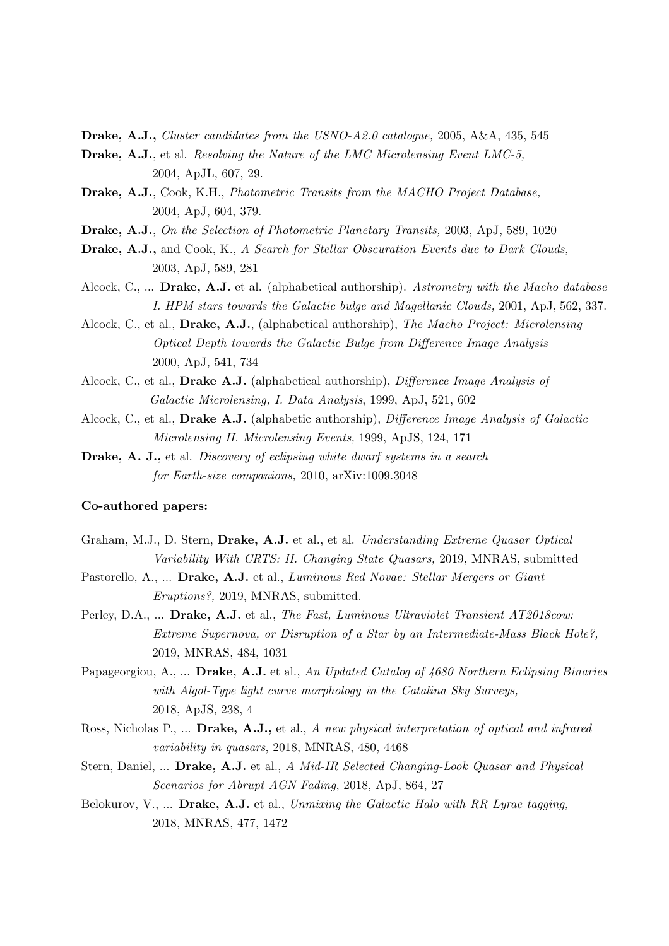Drake, A.J., *Cluster candidates from the USNO-A2.0 catalogue,* 2005, A&A, 435, 545

- Drake, A.J., et al. *Resolving the Nature of the LMC Microlensing Event LMC-5,* 2004, ApJL, 607, 29.
- Drake, A.J., Cook, K.H., *Photometric Transits from the MACHO Project Database,* 2004, ApJ, 604, 379.
- Drake, A.J., *On the Selection of Photometric Planetary Transits,* 2003, ApJ, 589, 1020
- Drake, A.J., and Cook, K., *A Search for Stellar Obscuration Events due to Dark Clouds,* 2003, ApJ, 589, 281
- Alcock, C., ... Drake, A.J. et al. (alphabetical authorship). *Astrometry with the Macho database I. HPM stars towards the Galactic bulge and Magellanic Clouds,* 2001, ApJ, 562, 337.
- Alcock, C., et al., Drake, A.J., (alphabetical authorship), *The Macho Project: Microlensing Optical Depth towards the Galactic Bulge from Difference Image Analysis* 2000, ApJ, 541, 734
- Alcock, C., et al., Drake A.J. (alphabetical authorship), *Difference Image Analysis of Galactic Microlensing, I. Data Analysis*, 1999, ApJ, 521, 602
- Alcock, C., et al., Drake A.J. (alphabetic authorship), *Difference Image Analysis of Galactic Microlensing II. Microlensing Events,* 1999, ApJS, 124, 171
- Drake, A. J., et al. *Discovery of eclipsing white dwarf systems in a search for Earth-size companions,* 2010, arXiv:1009.3048

### Co-authored papers:

- Graham, M.J., D. Stern, Drake, A.J. et al., et al. *Understanding Extreme Quasar Optical Variability With CRTS: II. Changing State Quasars,* 2019, MNRAS, submitted
- Pastorello, A., ... Drake, A.J. et al., *Luminous Red Novae: Stellar Mergers or Giant Eruptions?,* 2019, MNRAS, submitted.
- Perley, D.A., ... Drake, A.J. et al., *The Fast, Luminous Ultraviolet Transient AT2018cow: Extreme Supernova, or Disruption of a Star by an Intermediate-Mass Black Hole?,* 2019, MNRAS, 484, 1031
- Papageorgiou, A., ... Drake, A.J. et al., *An Updated Catalog of 4680 Northern Eclipsing Binaries with Algol-Type light curve morphology in the Catalina Sky Surveys,* 2018, ApJS, 238, 4
- Ross, Nicholas P., ... Drake, A.J., et al., *A new physical interpretation of optical and infrared variability in quasars*, 2018, MNRAS, 480, 4468
- Stern, Daniel, ... Drake, A.J. et al., *A Mid-IR Selected Changing-Look Quasar and Physical Scenarios for Abrupt AGN Fading*, 2018, ApJ, 864, 27
- Belokurov, V., ... Drake, A.J. et al., *Unmixing the Galactic Halo with RR Lyrae tagging,* 2018, MNRAS, 477, 1472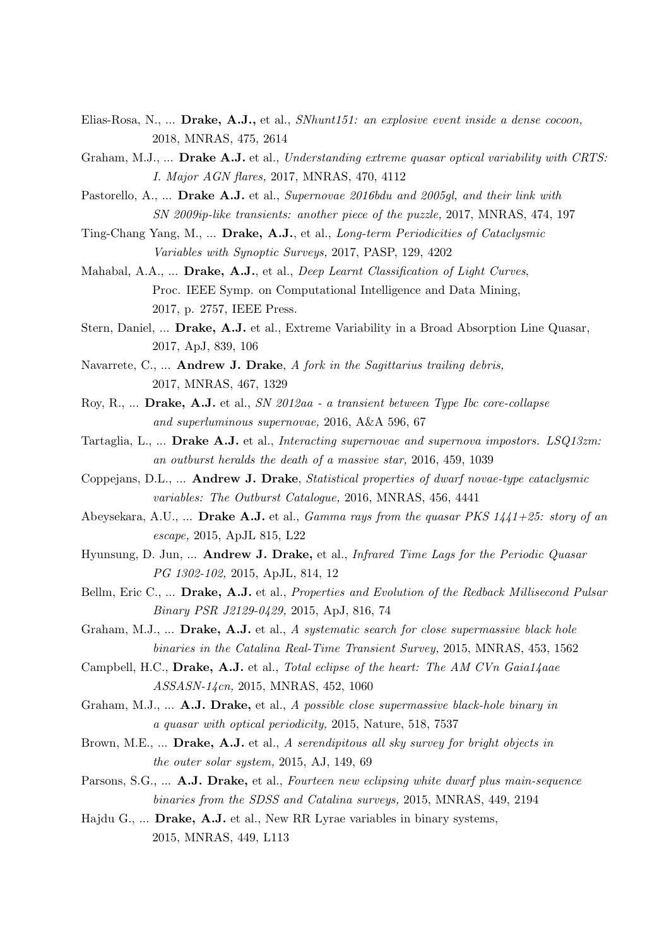- Elias-Rosa, N., ... Drake, A.J., et al., *SNhunt151: an explosive event inside a dense cocoon,* 2018, MNRAS, 475, 2614
- Graham, M.J., ... Drake A.J. et al., *Understanding extreme quasar optical variability with CRTS: I. Major AGN flares,* 2017, MNRAS, 470, 4112
- Pastorello, A., ... Drake A.J. et al., *Supernovae 2016bdu and 2005gl, and their link with SN 2009ip-like transients: another piece of the puzzle,* 2017, MNRAS, 474, 197
- Ting-Chang Yang, M., ... Drake, A.J., et al., *Long-term Periodicities of Cataclysmic Variables with Synoptic Surveys,* 2017, PASP, 129, 4202
- Mahabal, A.A., ... Drake, A.J., et al., *Deep Learnt Classification of Light Curves*, Proc. IEEE Symp. on Computational Intelligence and Data Mining, 2017, p. 2757, IEEE Press.
- Stern, Daniel, ... Drake, A.J. et al., Extreme Variability in a Broad Absorption Line Quasar, 2017, ApJ, 839, 106
- Navarrete, C., ... Andrew J. Drake, *A fork in the Sagittarius trailing debris,* 2017, MNRAS, 467, 1329
- Roy, R., ... Drake, A.J. et al., *SN 2012aa a transient between Type Ibc core-collapse and superluminous supernovae,* 2016, A&A 596, 67
- Tartaglia, L., ... Drake A.J. et al., *Interacting supernovae and supernova impostors. LSQ13zm: an outburst heralds the death of a massive star,* 2016, 459, 1039
- Coppejans, D.L., ... Andrew J. Drake, *Statistical properties of dwarf novae-type cataclysmic variables: The Outburst Catalogue,* 2016, MNRAS, 456, 4441
- Abeysekara, A.U., ... Drake A.J. et al., *Gamma rays from the quasar PKS 1441+25: story of an escape,* 2015, ApJL 815, L22
- Hyunsung, D. Jun, ... Andrew J. Drake, et al., *Infrared Time Lags for the Periodic Quasar PG 1302-102,* 2015, ApJL, 814, 12
- Bellm, Eric C., ... Drake, A.J. et al., *Properties and Evolution of the Redback Millisecond Pulsar Binary PSR J2129-0429,* 2015, ApJ, 816, 74
- Graham, M.J., ... Drake, A.J. et al., *A systematic search for close supermassive black hole binaries in the Catalina Real-Time Transient Survey,* 2015, MNRAS, 453, 1562
- Campbell, H.C., Drake, A.J. et al., *Total eclipse of the heart: The AM CVn Gaia14aae ASSASN-14cn,* 2015, MNRAS, 452, 1060
- Graham, M.J., ... A.J. Drake, et al., *A possible close supermassive black-hole binary in a quasar with optical periodicity,* 2015, Nature, 518, 7537
- Brown, M.E., ... Drake, A.J. et al., *A serendipitous all sky survey for bright objects in the outer solar system,* 2015, AJ, 149, 69
- Parsons, S.G., ... A.J. Drake, et al., *Fourteen new eclipsing white dwarf plus main-sequence binaries from the SDSS and Catalina surveys,* 2015, MNRAS, 449, 2194
- Hajdu G., ... Drake, A.J. et al., New RR Lyrae variables in binary systems, 2015, MNRAS, 449, L113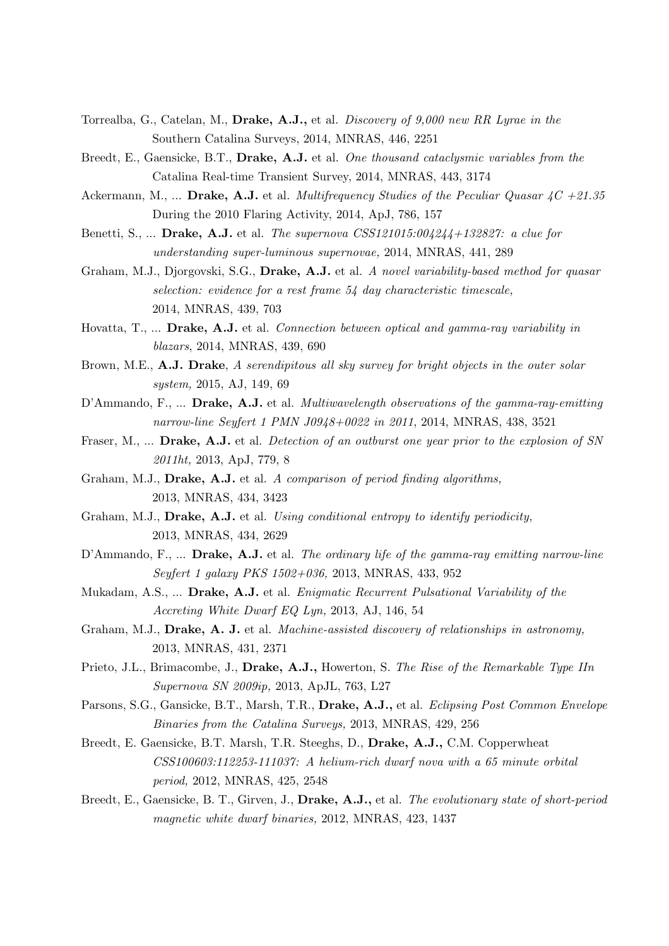- Torrealba, G., Catelan, M., Drake, A.J., et al. *Discovery of 9,000 new RR Lyrae in the* Southern Catalina Surveys, 2014, MNRAS, 446, 2251
- Breedt, E., Gaensicke, B.T., Drake, A.J. et al. *One thousand cataclysmic variables from the* Catalina Real-time Transient Survey, 2014, MNRAS, 443, 3174
- Ackermann, M., ... Drake, A.J. et al. *Multifrequency Studies of the Peculiar Quasar 4C +21.35* During the 2010 Flaring Activity, 2014, ApJ, 786, 157
- Benetti, S., ... Drake, A.J. et al. *The supernova CSS121015:004244+132827: a clue for understanding super-luminous supernovae,* 2014, MNRAS, 441, 289
- Graham, M.J., Djorgovski, S.G., Drake, A.J. et al. *A novel variability-based method for quasar selection: evidence for a rest frame 54 day characteristic timescale,* 2014, MNRAS, 439, 703
- Hovatta, T., ... Drake, A.J. et al. *Connection between optical and gamma-ray variability in blazars*, 2014, MNRAS, 439, 690
- Brown, M.E., A.J. Drake, *A serendipitous all sky survey for bright objects in the outer solar system,* 2015, AJ, 149, 69
- D'Ammando, F., ... Drake, A.J. et al. *Multiwavelength observations of the gamma-ray-emitting narrow-line Seyfert 1 PMN J0948+0022 in 2011*, 2014, MNRAS, 438, 3521
- Fraser, M., ... Drake, A.J. et al. *Detection of an outburst one year prior to the explosion of SN 2011ht,* 2013, ApJ, 779, 8
- Graham, M.J., Drake, A.J. et al. *A comparison of period finding algorithms,* 2013, MNRAS, 434, 3423
- Graham, M.J., Drake, A.J. et al. *Using conditional entropy to identify periodicity,* 2013, MNRAS, 434, 2629
- D'Ammando, F., ... Drake, A.J. et al. *The ordinary life of the gamma-ray emitting narrow-line Seyfert 1 galaxy PKS 1502+036,* 2013, MNRAS, 433, 952
- Mukadam, A.S., ... Drake, A.J. et al. *Enigmatic Recurrent Pulsational Variability of the Accreting White Dwarf EQ Lyn,* 2013, AJ, 146, 54
- Graham, M.J., Drake, A. J. et al. *Machine-assisted discovery of relationships in astronomy,* 2013, MNRAS, 431, 2371
- Prieto, J.L., Brimacombe, J., Drake, A.J., Howerton, S. *The Rise of the Remarkable Type IIn Supernova SN 2009ip,* 2013, ApJL, 763, L27
- Parsons, S.G., Gansicke, B.T., Marsh, T.R., Drake, A.J., et al. *Eclipsing Post Common Envelope Binaries from the Catalina Surveys,* 2013, MNRAS, 429, 256
- Breedt, E. Gaensicke, B.T. Marsh, T.R. Steeghs, D., Drake, A.J., C.M. Copperwheat *CSS100603:112253-111037: A helium-rich dwarf nova with a 65 minute orbital period,* 2012, MNRAS, 425, 2548
- Breedt, E., Gaensicke, B. T., Girven, J., Drake, A.J., et al. *The evolutionary state of short-period magnetic white dwarf binaries,* 2012, MNRAS, 423, 1437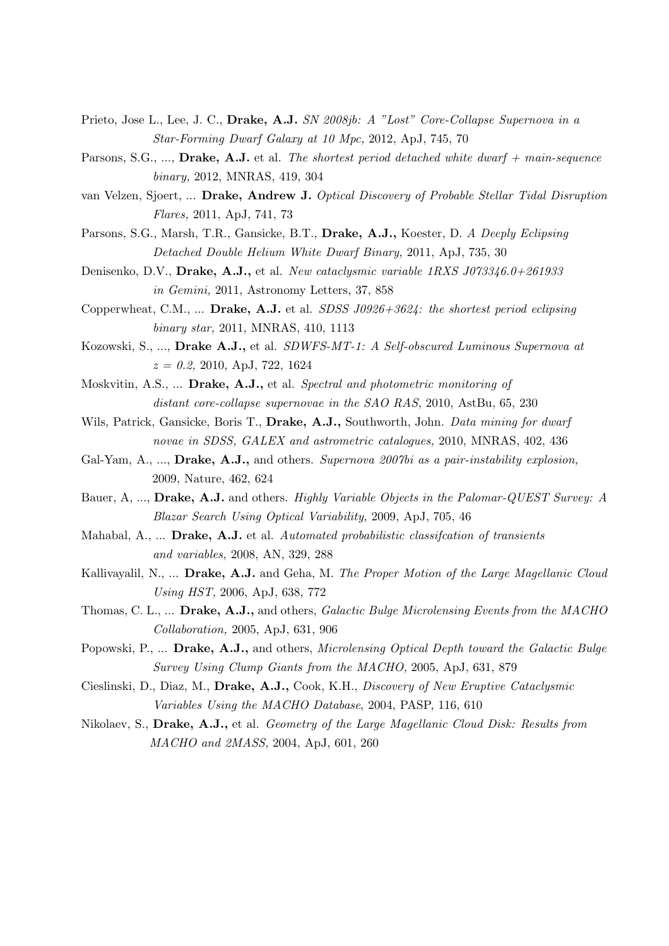- Prieto, Jose L., Lee, J. C., Drake, A.J. *SN 2008jb: A "Lost" Core-Collapse Supernova in a Star-Forming Dwarf Galaxy at 10 Mpc,* 2012, ApJ, 745, 70
- Parsons, S.G., ..., Drake, A.J. et al. *The shortest period detached white dwarf + main-sequence binary,* 2012, MNRAS, 419, 304
- van Velzen, Sjoert, ... Drake, Andrew J. *Optical Discovery of Probable Stellar Tidal Disruption Flares,* 2011, ApJ, 741, 73
- Parsons, S.G., Marsh, T.R., Gansicke, B.T., Drake, A.J., Koester, D. *A Deeply Eclipsing Detached Double Helium White Dwarf Binary,* 2011, ApJ, 735, 30
- Denisenko, D.V., Drake, A.J., et al. *New cataclysmic variable 1RXS J073346.0+261933 in Gemini,* 2011, Astronomy Letters, 37, 858
- Copperwheat, C.M., ... Drake, A.J. et al. *SDSS J0926+3624: the shortest period eclipsing binary star,* 2011, MNRAS, 410, 1113
- Kozowski, S., ..., Drake A.J., et al. *SDWFS-MT-1: A Self-obscured Luminous Supernova at z = 0.2,* 2010, ApJ, 722, 1624
- Moskvitin, A.S., ... Drake, A.J., et al. *Spectral and photometric monitoring of distant core-collapse supernovae in the SAO RAS,* 2010, AstBu, 65, 230
- Wils, Patrick, Gansicke, Boris T., Drake, A.J., Southworth, John. *Data mining for dwarf novae in SDSS, GALEX and astrometric catalogues,* 2010, MNRAS, 402, 436
- Gal-Yam, A., ..., Drake, A.J., and others. *Supernova 2007bi as a pair-instability explosion,* 2009, Nature, 462, 624
- Bauer, A, ..., Drake, A.J. and others. *Highly Variable Objects in the Palomar-QUEST Survey: A Blazar Search Using Optical Variability,* 2009, ApJ, 705, 46
- Mahabal, A., ... Drake, A.J. et al. *Automated probabilistic classifcation of transients and variables,* 2008, AN, 329, 288
- Kallivayalil, N., ... Drake, A.J. and Geha, M. *The Proper Motion of the Large Magellanic Cloud Using HST,* 2006, ApJ, 638, 772
- Thomas, C. L., ... Drake, A.J., and others, *Galactic Bulge Microlensing Events from the MACHO Collaboration,* 2005, ApJ, 631, 906
- Popowski, P., ... Drake, A.J., and others, *Microlensing Optical Depth toward the Galactic Bulge Survey Using Clump Giants from the MACHO,* 2005, ApJ, 631, 879
- Cieslinski, D., Diaz, M., Drake, A.J., Cook, K.H., *Discovery of New Eruptive Cataclysmic Variables Using the MACHO Database*, 2004, PASP, 116, 610
- Nikolaev, S., Drake, A.J., et al. *Geometry of the Large Magellanic Cloud Disk: Results from MACHO and 2MASS,* 2004, ApJ, 601, 260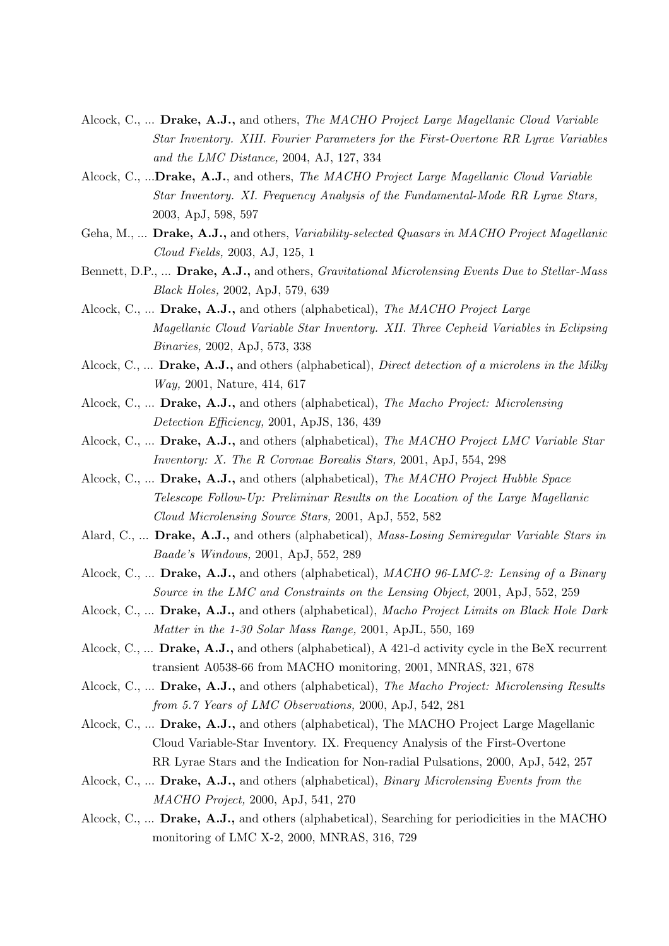- Alcock, C., ... Drake, A.J., and others, *The MACHO Project Large Magellanic Cloud Variable Star Inventory. XIII. Fourier Parameters for the First-Overtone RR Lyrae Variables and the LMC Distance,* 2004, AJ, 127, 334
- Alcock, C., ...Drake, A.J., and others, *The MACHO Project Large Magellanic Cloud Variable Star Inventory. XI. Frequency Analysis of the Fundamental-Mode RR Lyrae Stars,* 2003, ApJ, 598, 597
- Geha, M., ... Drake, A.J., and others, *Variability-selected Quasars in MACHO Project Magellanic Cloud Fields,* 2003, AJ, 125, 1
- Bennett, D.P., ... Drake, A.J., and others, *Gravitational Microlensing Events Due to Stellar-Mass Black Holes,* 2002, ApJ, 579, 639
- Alcock, C., ... Drake, A.J., and others (alphabetical), *The MACHO Project Large Magellanic Cloud Variable Star Inventory. XII. Three Cepheid Variables in Eclipsing Binaries,* 2002, ApJ, 573, 338
- Alcock, C., ... Drake, A.J., and others (alphabetical), *Direct detection of a microlens in the Milky Way,* 2001, Nature, 414, 617
- Alcock, C., ... Drake, A.J., and others (alphabetical), *The Macho Project: Microlensing Detection Efficiency,* 2001, ApJS, 136, 439
- Alcock, C., ... Drake, A.J., and others (alphabetical), *The MACHO Project LMC Variable Star Inventory: X. The R Coronae Borealis Stars,* 2001, ApJ, 554, 298
- Alcock, C., ... Drake, A.J., and others (alphabetical), *The MACHO Project Hubble Space Telescope Follow-Up: Preliminar Results on the Location of the Large Magellanic Cloud Microlensing Source Stars,* 2001, ApJ, 552, 582
- Alard, C., ... Drake, A.J., and others (alphabetical), *Mass-Losing Semiregular Variable Stars in Baade's Windows,* 2001, ApJ, 552, 289
- Alcock, C., ... Drake, A.J., and others (alphabetical), *MACHO 96-LMC-2: Lensing of a Binary Source in the LMC and Constraints on the Lensing Object,* 2001, ApJ, 552, 259
- Alcock, C., ... Drake, A.J., and others (alphabetical), *Macho Project Limits on Black Hole Dark Matter in the 1-30 Solar Mass Range,* 2001, ApJL, 550, 169
- Alcock, C., ... Drake, A.J., and others (alphabetical), A 421-d activity cycle in the BeX recurrent transient A0538-66 from MACHO monitoring, 2001, MNRAS, 321, 678
- Alcock, C., ... Drake, A.J., and others (alphabetical), *The Macho Project: Microlensing Results from 5.7 Years of LMC Observations,* 2000, ApJ, 542, 281
- Alcock, C., ... Drake, A.J., and others (alphabetical), The MACHO Project Large Magellanic Cloud Variable-Star Inventory. IX. Frequency Analysis of the First-Overtone RR Lyrae Stars and the Indication for Non-radial Pulsations, 2000, ApJ, 542, 257
- Alcock, C., ... Drake, A.J., and others (alphabetical), *Binary Microlensing Events from the MACHO Project,* 2000, ApJ, 541, 270
- Alcock, C., ... Drake, A.J., and others (alphabetical), Searching for periodicities in the MACHO monitoring of LMC X-2, 2000, MNRAS, 316, 729